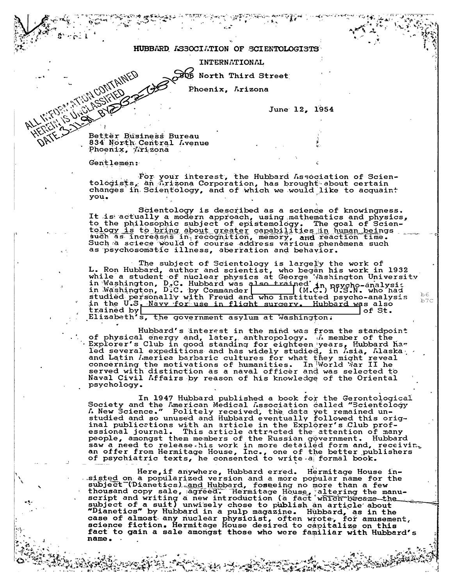## HUBBARD ASSOCIATION OF SCIENTOLOGISTS

INTERNATIONAL

SOG North Third Street

Phoenix, Arizona

June 12, 1954

Better Business Bureau 834 North Central Avenue Phoenix, Arizona

Gentlemen:

**ALANTINGOVITAINED** 

For your interest, the Hubbard Association of Scien-<br>tologists, an Arizona Corporation, has brought about certain<br>changes in Scientology, and of which we would like to acquaint you.

Scientology is described as a science of knowingness. It is actually a modern approach, using mathematics and physics, to the philosophic subject of epistemology. The goal of Scien-<br>tology is to bring about greater capabilities in human beings<br>such as increases in recognition, memory, and reaction time.<br>Such a sciece would of course addres as psychosomatic illness, aberration and behavior.

The subject of Scientology is largely the work of<br>L. Ron Hubbard, author and scientist, who began his work in 1932<br>while a student of nuclear physics at George Vashington University<br>in Washington, D.C. Hubbard was also tra studied personally with Freud and who instituted psycho-analysis<br>in the U.S. Navy for use in flight surgery. Hubbard was also  $b6$  $b7c$ trained by of St.

Elizabeth's, the government asylum at Washington.

Hubbard's interest in the mind was from the standpoint of physical energy and, later, anthropology. The member of the<br>Explorer's Club in good standing for eighteen years, Hubbard has<br>led several expeditions and has widely studied, in *Isla*, *Laska*<br>and Latin *I*merica barbari psychology.

In 1947 Hubbard published a book for the Gerontological In 1947 Hubbard published a book for the Gerontological<br>Society and the American Medical Association called "Scientology<br>A New Science." Politely received, the data yet remained un-<br>studied and so unused and Hubbard eventu people, amongst them members of the Russian government. Hubbard<br>saw a need to release his work in more detailed form and, receiving<br>an offer from Hermitage House, Inc., one of the better publishers<br>of psychiatric texts, he

Here, if anywhere, Hubbard erred. Hermitage House innere, it anywhere, Hubbard erred. Hermitage House in-<br>sigted on apopularized version and a more popular name for the<br>subject (Diantics) and Hubbard, fosseing no more than a few<br>thousand copy sale, agreed. Hermitage House, fact to gain a sale amongst those who were familiar with Hubbard's name.

فالمتوافق والتعارية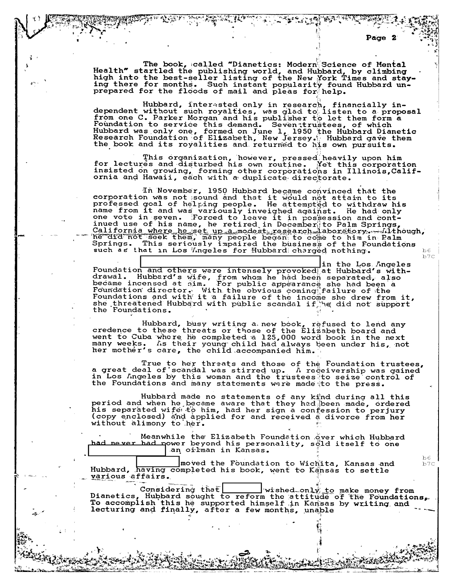The book, called "Dianetics: Modern Science of Mental Health" startled the publishing world, and Hubbard, by climbing<br>high into the best-seller listing of the New York Times and stay-<br>ing there for months. Such instant popularity found Hubbard un-<br>prepared for the floods of m

Hubbard, interested only in research, financially in-<br>dependent without such royalties, was glad to listen to a proposal<br>from one C. Parker Morgan and his publisher to let them form a Foundation to service this demand. Seven trustees, of which<br>Hubbard was only one, formed on June 1, 1950 the Hubbard Dianetic<br>Research Foundation of Elizabeth, New Jersey. Hubbard gave them the book and its royalities and returned to his own pursuits.

This organization, however, pressed heavily upon him<br>for lectures and disturbed his own routine. Net this corporation<br>insisted on growing, forming other corporations in Illinois,California and Hawaii, each with a duplicate directorate.

In November, 1950 Hubbard became convinced that the<br>corporation was not sound and that it would not attain to its professed goal of helping people. He attempted to withdraw his name from it and was variously inveighed against. He had only one vote in seven. Forced to leave it in possession and cont-Springs. This seriously impaired the business or the rosuch as that in Los *'Ingeles for Hubbard* charged nothing.  $b6$ 

in the Los Angeles Foundation and others were intensely provoked at Hubbard's with-<br>drawal. Hubbard's wife, from whom he had been separated, also<br>became incensed at nim. For public appearance she had been a<br>Foundation director. With the obvi Foundation director. With the obvious coming failure of the<br>Foundations and with it a failure of the income she drew from it,<br>she threatened Hubbard with public scandal if he did not support the Foundations.

Hubbard, busy writing a new book, refused to lend any<br>credence to these threats or those of the Elizabeth board and<br>went to Cuba where he completed a 125,000 word book in the next many weeks. As their young child had always been under his, not<br>her mother's care, the child accompanied him.

True to her threats and those of the Foundation trustees,<br>a great deal of scandal was stirred up. A receivership was gained in Los Angeles by this woman and the trustees to seize control of the Foundations and many statements were made to the press.

Hubbard made no statements of any kind during all this period and when he became aware that they had been made, ordered his separated wife to him, had her sign a confession to perjury<br>(copy enclosed) and applied for and received a divorce from her without alimony to her.

Meanwhile the Elizabeth Foundation over which Hubbard had never had nower beyond his personality, sold itself to one an oilman in Kansas.

moved the Foundation to Wichita, Kansas and Hubbard, having completed his book, went to Kansas to settle various affairs.

**Considering that |** wished only to make money from Dianetics, Hubbard sought to reform the attitude of the Foundations, lecturing and finally, after a few months, unable

 $b7c$ 

 $b6$ 

 $b7c$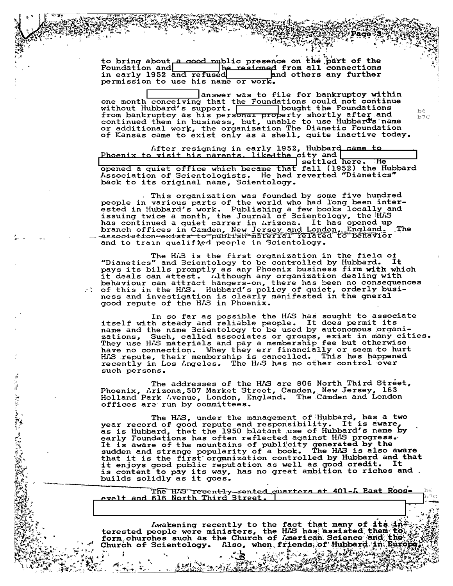to bring about a good mublic presence on the part of the<br>Foundation and<br>in early 1952 and refused<br>in early 1952 and refused<br>end others any further in early 1952 and refused permission to use his name or work.

answer was to file for bankruptcy within one month conceiving that the Foundations could not continue<br>without Hubbard's support. | bought the Foundations from bankruptcy as his personal property shortly after and<br>continued them in business, but, unable to use Hubbard's name<br>or additional work, the organization The Dianetic Foundation of Kansas came to exist only as a shell, quite inactive today.

After resigning in early 1952, Hubbard came to.<br>Phoenix to visit his parents. likedthe city and when the policy of the series of the series of the series of t settled here. ਾਸਕ opened a quiet office which became that fall (1952) the Hubbard<br>Association of Scientologists. He had reverted "Dianetics" back to its original name, Scientology.

This organization was founded by some five hundred<br>people in various parts of the world who had long been inter-<br>ested in Hubbard's work. Publishing a few books locally and ssuing twice a month, the Journal of Scientology, the HAS<br>has continued a quiet carrer in Arizona. It has opened up<br>branch offices in Camden, New Jersey and London, England.<br>association-exists to publish material related t The and to train qualified people in Scientology.

The HAS is the first organization in the fiela o<u>f</u> Ine not is the first organization in the field of<br>"Dianetics" and Scientology to be controlled by Hubbard. It<br>pays its bills promptly as any Phoenix business firm with which<br>it deals can attest. Although any organization d

In so far as possible the HAS has sought to associate<br>itself with steady and reliable people. It does permit its<br>name and the name Scientology to be used by autonomous organiradions, Such, called associates or groups, exist in many cities.<br>They use HAS materials and pay a membership fee but otherwise<br>have no connection. Whey they err financially or seem to hurt<br>HAS repute, their membership is HAS repute, their membership is cancelled. This has happenent recently in Los Angeles. The HAS has no other control over such persons.

The addresses of the HAS are 806 North Third Street,<br>Phoenix, Arizona, 507 Market Street, Camden, New Jersey, 163<br>Holland Park Avenue, London, England. The Camden and London offices are run by committees.

 $\frac{1}{4}$ 

Andrew Marie Lander

The HAS, under the management of Hubbard, has a two<br>year record of good repute and responsibility. It is aware,<br>as is Hubbard, that the 1950 blatant use of Hubbard's name by early Foundations has often reflected against HAS progress. It is aware of the mountains of publicity generated by the sudden and strange popularity of a book. The HAS is also aware that it is the first organization controlled by Hubbard and that it enjoys good public reputation as well as good credit. It is content to pay its way, has no great ambition to riches and builds solidly as it goes.

The HAS recently-rented quarters at 401-A East Roosevelt and 616 North Third Street.

Lwakening recently to the fact that many of its in the terested people were ministers, the HAS has assisted them to the form churches such as the Church of Imerican Science and the  $\mathbb{R}^N$ Church of Scientology. Also, when friends of Hubbard in Eurol  $\mathbb{C}^{\mathbb{Z}}\otimes\mathbb{C}^{\mathbb{Z}}\otimes\mathbb{C}^{\mathbb{Z}}\otimes\mathbb{C}^{\mathbb{Z}}$ 

**BEAT** 

لومية الميتانية كالميتانية

 $b6$  $b7c$